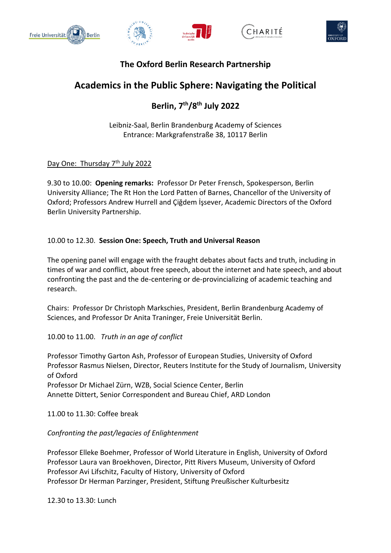









## **The Oxford Berlin Research Partnership**

# **Academics in the Public Sphere: Navigating the Political**

## **Berlin, 7th/8th July 2022**

Leibniz-Saal, Berlin Brandenburg Academy of Sciences Entrance: Markgrafenstraße 38, 10117 Berlin

Day One: Thursday 7<sup>th</sup> July 2022

9.30 to 10.00: **Opening remarks:** Professor Dr Peter Frensch, Spokesperson, Berlin University Alliance; The Rt Hon the Lord Patten of Barnes, Chancellor of the University of Oxford; Professors Andrew Hurrell and Çiğdem İşsever, Academic Directors of the Oxford Berlin University Partnership.

### 10.00 to 12.30. **Session One: Speech, Truth and Universal Reason**

The opening panel will engage with the fraught debates about facts and truth, including in times of war and conflict, about free speech, about the internet and hate speech, and about confronting the past and the de-centering or de-provincializing of academic teaching and research.

Chairs: Professor Dr Christoph Markschies, President, Berlin Brandenburg Academy of Sciences, and Professor Dr Anita Traninger, Freie Universität Berlin.

10.00 to 11.00. *Truth in an age of conflict*

Professor Timothy Garton Ash, Professor of European Studies, University of Oxford Professor Rasmus Nielsen, Director, Reuters Institute for the Study of Journalism, University of Oxford Professor Dr Michael Zürn, WZB, Social Science Center, Berlin Annette Dittert, Senior Correspondent and Bureau Chief, ARD London

11.00 to 11.30: Coffee break

*Confronting the past/legacies of Enlightenment*

Professor Elleke Boehmer, Professor of World Literature in English, University of Oxford Professor Laura van Broekhoven, Director, Pitt Rivers Museum, University of Oxford Professor Avi Lifschitz, Faculty of History, University of Oxford Professor Dr Herman Parzinger, President, Stiftung Preußischer Kulturbesitz

12.30 to 13.30: Lunch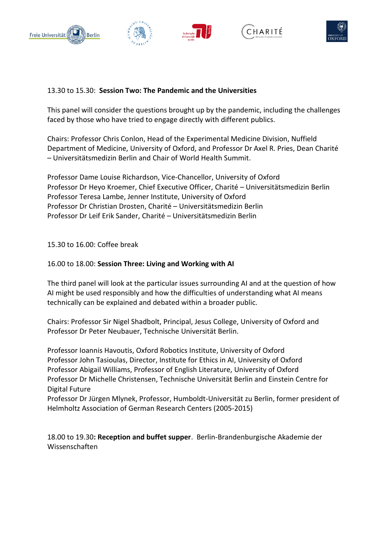









#### 13.30 to 15.30: **Session Two: The Pandemic and the Universities**

This panel will consider the questions brought up by the pandemic, including the challenges faced by those who have tried to engage directly with different publics.

Chairs: Professor Chris Conlon, Head of the Experimental Medicine Division, Nuffield Department of Medicine, University of Oxford, and Professor Dr Axel R. Pries, Dean Charité – Universitätsmedizin Berlin and Chair of World Health Summit.

Professor Dame Louise Richardson, Vice-Chancellor, University of Oxford Professor Dr Heyo Kroemer, Chief Executive Officer, Charité – Universitätsmedizin Berlin Professor Teresa Lambe, Jenner Institute, University of Oxford Professor Dr Christian Drosten, Charité – Universitätsmedizin Berlin Professor Dr Leif Erik Sander, Charité – Universitätsmedizin Berlin

15.30 to 16.00: Coffee break

#### 16.00 to 18.00: **Session Three: Living and Working with AI**

The third panel will look at the particular issues surrounding AI and at the question of how AI might be used responsibly and how the difficulties of understanding what AI means technically can be explained and debated within a broader public.

Chairs: Professor Sir Nigel Shadbolt, Principal, Jesus College, University of Oxford and Professor Dr Peter Neubauer, Technische Universität Berlin.

Professor Ioannis Havoutis, Oxford Robotics Institute, University of Oxford Professor John Tasioulas, Director, Institute for Ethics in AI, University of Oxford Professor Abigail Williams, Professor of English Literature, University of Oxford Professor Dr Michelle Christensen, Technische Universität Berlin and Einstein Centre for Digital Future

Professor Dr Jürgen Mlynek, Professor, Humboldt-Universität zu Berlin, former president of Helmholtz Association of German Research Centers (2005-2015)

18.00 to 19.30**: Reception and buffet supper**. Berlin-Brandenburgische Akademie der Wissenschaften